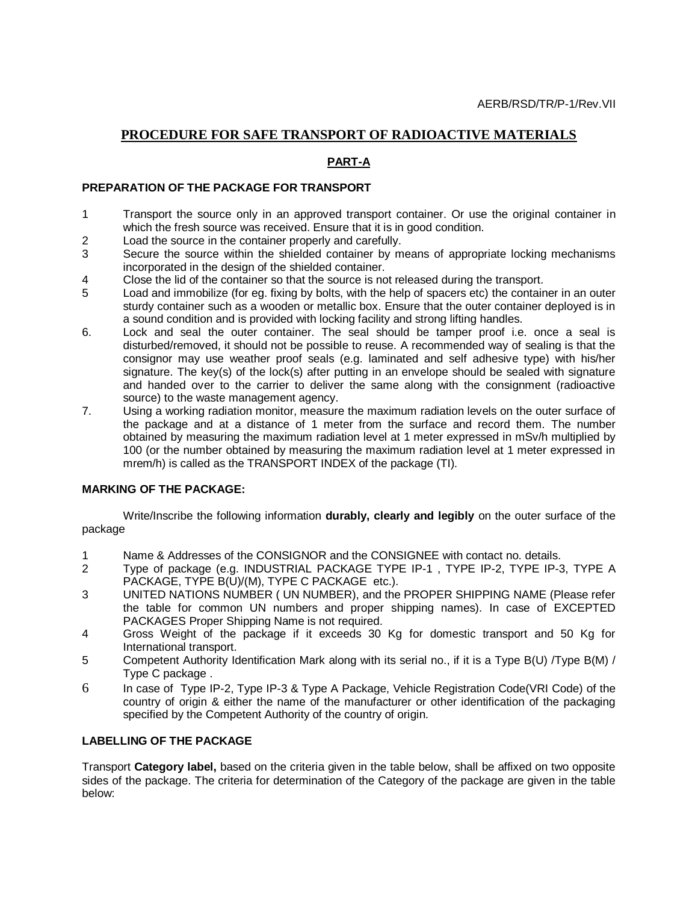### **PROCEDURE FOR SAFE TRANSPORT OF RADIOACTIVE MATERIALS**

### **PART-A**

#### **PREPARATION OF THE PACKAGE FOR TRANSPORT**

- 1 Transport the source only in an approved transport container. Or use the original container in which the fresh source was received. Ensure that it is in good condition.
- 2 Load the source in the container properly and carefully.
- 3 Secure the source within the shielded container by means of appropriate locking mechanisms incorporated in the design of the shielded container.
- 4 Close the lid of the container so that the source is not released during the transport.
- 5 Load and immobilize (for eg. fixing by bolts, with the help of spacers etc) the container in an outer sturdy container such as a wooden or metallic box. Ensure that the outer container deployed is in a sound condition and is provided with locking facility and strong lifting handles.
- 6. Lock and seal the outer container. The seal should be tamper proof i.e. once a seal is disturbed/removed, it should not be possible to reuse. A recommended way of sealing is that the consignor may use weather proof seals (e.g. laminated and self adhesive type) with his/her signature. The key(s) of the lock(s) after putting in an envelope should be sealed with signature and handed over to the carrier to deliver the same along with the consignment (radioactive source) to the waste management agency.
- 7. Using a working radiation monitor, measure the maximum radiation levels on the outer surface of the package and at a distance of 1 meter from the surface and record them. The number obtained by measuring the maximum radiation level at 1 meter expressed in mSv/h multiplied by 100 (or the number obtained by measuring the maximum radiation level at 1 meter expressed in mrem/h) is called as the TRANSPORT INDEX of the package (TI).

#### **MARKING OF THE PACKAGE:**

Write/Inscribe the following information **durably, clearly and legibly** on the outer surface of the package

- 1 Name & Addresses of the CONSIGNOR and the CONSIGNEE with contact no. details.
- 2 Type of package (e.g. INDUSTRIAL PACKAGE TYPE IP-1 , TYPE IP-2, TYPE IP-3, TYPE A PACKAGE, TYPE B(U)/(M), TYPE C PACKAGE etc.).
- 3 UNITED NATIONS NUMBER ( UN NUMBER), and the PROPER SHIPPING NAME (Please refer the table for common UN numbers and proper shipping names). In case of EXCEPTED PACKAGES Proper Shipping Name is not required.
- 4 Gross Weight of the package if it exceeds 30 Kg for domestic transport and 50 Kg for International transport.
- 5 Competent Authority Identification Mark along with its serial no., if it is a Type B(U) /Type B(M) / Type C package .
- 6 In case of Type IP-2, Type IP-3 & Type A Package, Vehicle Registration Code(VRI Code) of the country of origin & either the name of the manufacturer or other identification of the packaging specified by the Competent Authority of the country of origin.

#### **LABELLING OF THE PACKAGE**

Transport **Category label,** based on the criteria given in the table below, shall be affixed on two opposite sides of the package. The criteria for determination of the Category of the package are given in the table below: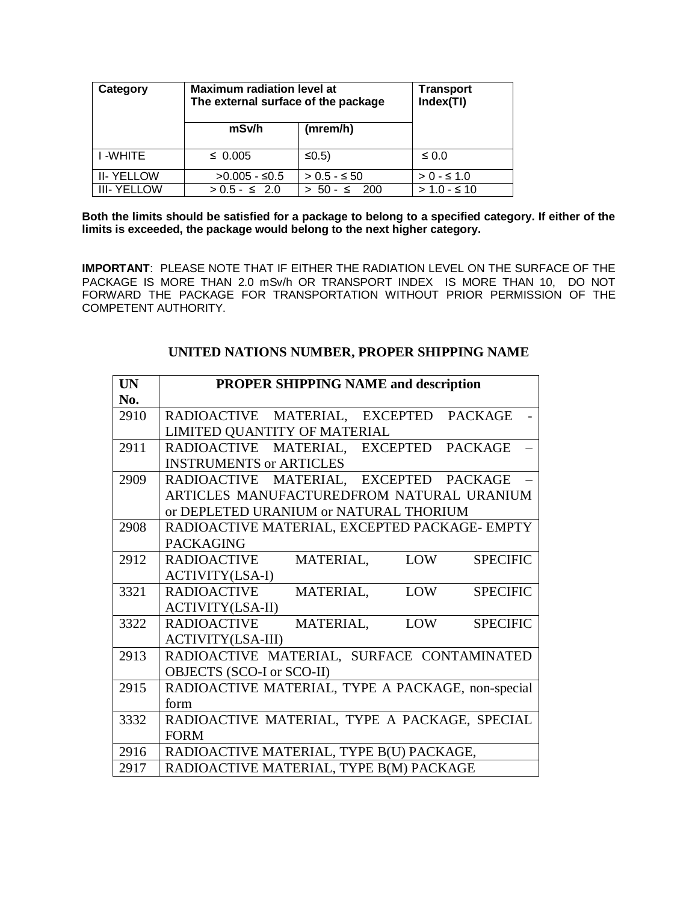| Category           | <b>Maximum radiation level at</b><br>The external surface of the package | <b>Transport</b><br>Index(TI) |               |
|--------------------|--------------------------------------------------------------------------|-------------------------------|---------------|
|                    | mSv/h                                                                    | (mrem/h)                      |               |
| I -WHITE           | $\leq 0.005$                                                             | $\leq 0.5$                    | $\leq 0.0$    |
| <b>II-YELLOW</b>   | $>0.005 - 50.5$                                                          | $> 0.5 - 5.50$                | $> 0 - 5 1.0$ |
| <b>III- YELLOW</b> | $> 0.5 - 5.20$                                                           | 200<br>$50 - 5$               | $> 1.0 - 510$ |

**Both the limits should be satisfied for a package to belong to a specified category. If either of the limits is exceeded, the package would belong to the next higher category.**

**IMPORTANT**: PLEASE NOTE THAT IF EITHER THE RADIATION LEVEL ON THE SURFACE OF THE PACKAGE IS MORE THAN 2.0 mSv/h OR TRANSPORT INDEX IS MORE THAN 10, DO NOT FORWARD THE PACKAGE FOR TRANSPORTATION WITHOUT PRIOR PERMISSION OF THE COMPETENT AUTHORITY.

| <b>UN</b> | <b>PROPER SHIPPING NAME and description</b>                      |
|-----------|------------------------------------------------------------------|
| No.       |                                                                  |
| 2910      | RADIOACTIVE MATERIAL, EXCEPTED<br><b>PACKAGE</b>                 |
|           | LIMITED QUANTITY OF MATERIAL                                     |
| 2911      | RADIOACTIVE MATERIAL, EXCEPTED PACKAGE                           |
|           | <b>INSTRUMENTS or ARTICLES</b>                                   |
| 2909      | RADIOACTIVE MATERIAL, EXCEPTED PACKAGE                           |
|           | ARTICLES MANUFACTUREDFROM NATURAL URANIUM                        |
|           | or DEPLETED URANIUM or NATURAL THORIUM                           |
| 2908      | RADIOACTIVE MATERIAL, EXCEPTED PACKAGE- EMPTY                    |
|           | <b>PACKAGING</b>                                                 |
| 2912      | <b>LOW</b><br><b>SPECIFIC</b><br><b>RADIOACTIVE</b><br>MATERIAL, |
|           | <b>ACTIVITY(LSA-I)</b>                                           |
| 3321      | <b>RADIOACTIVE</b><br>LOW<br><b>SPECIFIC</b><br>MATERIAL,        |
|           | <b>ACTIVITY(LSA-II)</b>                                          |
| 3322      | <b>RADIOACTIVE</b><br>LOW<br><b>SPECIFIC</b><br>MATERIAL,        |
|           | <b>ACTIVITY(LSA-III)</b>                                         |
| 2913      | RADIOACTIVE MATERIAL, SURFACE CONTAMINATED                       |
|           | OBJECTS (SCO-I or SCO-II)                                        |
| 2915      | RADIOACTIVE MATERIAL, TYPE A PACKAGE, non-special                |
|           | form                                                             |
| 3332      | RADIOACTIVE MATERIAL, TYPE A PACKAGE, SPECIAL                    |
|           | <b>FORM</b>                                                      |
| 2916      | RADIOACTIVE MATERIAL, TYPE B(U) PACKAGE,                         |
| 2917      | RADIOACTIVE MATERIAL, TYPE B(M) PACKAGE                          |

### **UNITED NATIONS NUMBER, PROPER SHIPPING NAME**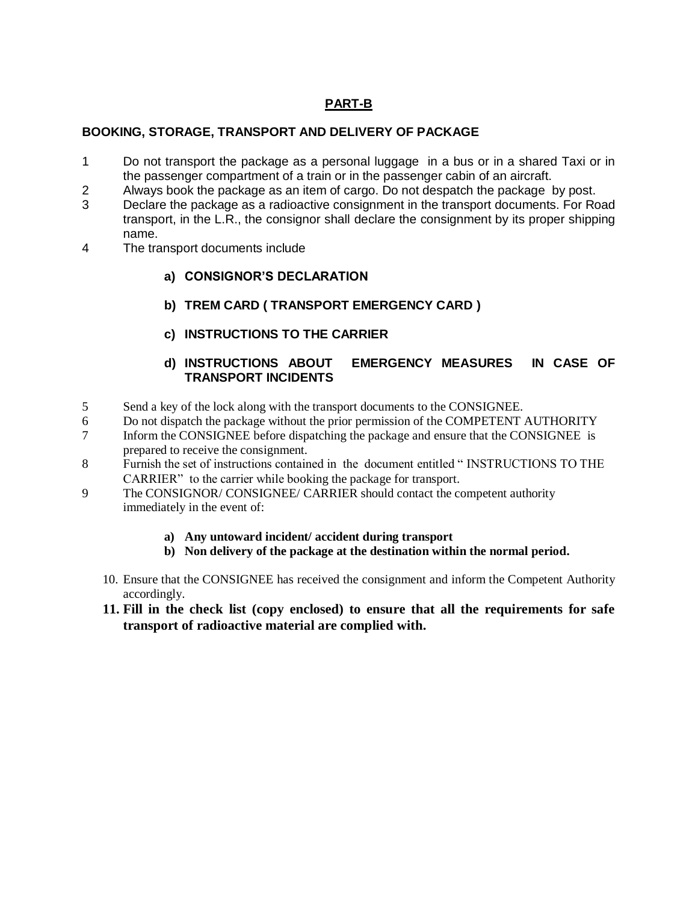## **PART-B**

### **BOOKING, STORAGE, TRANSPORT AND DELIVERY OF PACKAGE**

- 1 Do not transport the package as a personal luggage in a bus or in a shared Taxi or in the passenger compartment of a train or in the passenger cabin of an aircraft.
- 2 Always book the package as an item of cargo. Do not despatch the package by post.
- 3 Declare the package as a radioactive consignment in the transport documents. For Road transport, in the L.R., the consignor shall declare the consignment by its proper shipping name.
- 4 The transport documents include
	- **a) CONSIGNOR'S DECLARATION**
	- **b) TREM CARD ( TRANSPORT EMERGENCY CARD )**
	- **c) INSTRUCTIONS TO THE CARRIER**

### **d) INSTRUCTIONS ABOUT EMERGENCY MEASURES IN CASE OF TRANSPORT INCIDENTS**

- 5 Send a key of the lock along with the transport documents to the CONSIGNEE.
- 6 Do not dispatch the package without the prior permission of the COMPETENT AUTHORITY
- 7 Inform the CONSIGNEE before dispatching the package and ensure that the CONSIGNEE is prepared to receive the consignment.
- 8 Furnish the set of instructions contained in the document entitled " INSTRUCTIONS TO THE CARRIER" to the carrier while booking the package for transport.
- 9 The CONSIGNOR/ CONSIGNEE/ CARRIER should contact the competent authority immediately in the event of:
	- **a) Any untoward incident/ accident during transport**
	- **b) Non delivery of the package at the destination within the normal period.**
	- 10. Ensure that the CONSIGNEE has received the consignment and inform the Competent Authority accordingly.
	- **11. Fill in the check list (copy enclosed) to ensure that all the requirements for safe transport of radioactive material are complied with.**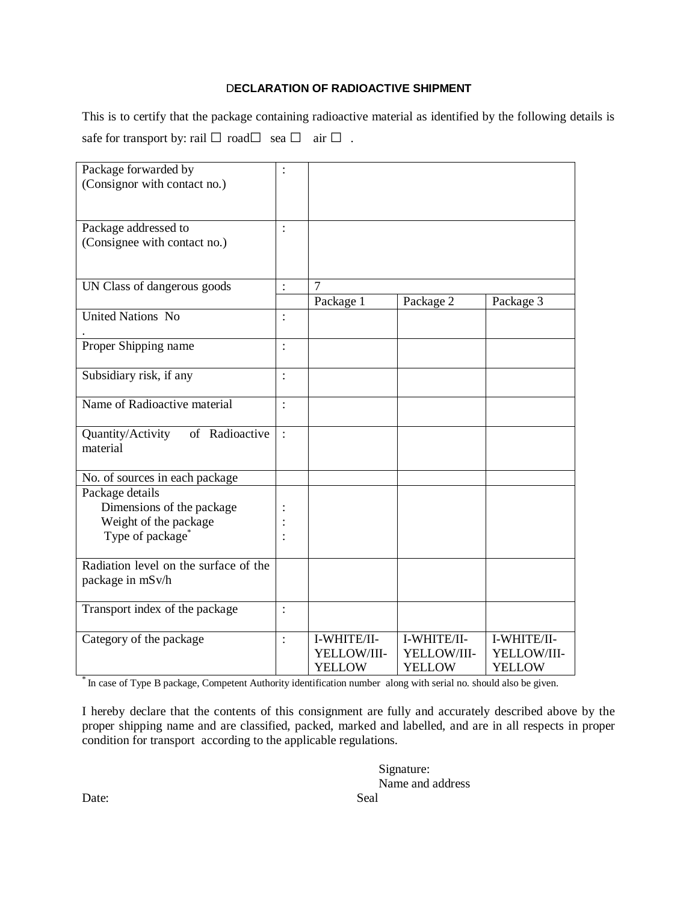### D**ECLARATION OF RADIOACTIVE SHIPMENT**

This is to certify that the package containing radioactive material as identified by the following details is safe for transport by: rail  $\Box$  road $\Box$  sea  $\Box$  air  $\Box$ .

| Package forwarded by<br>(Consignor with contact no.)                                                  | $\ddot{\cdot}$ |                                             |                                             |                                             |
|-------------------------------------------------------------------------------------------------------|----------------|---------------------------------------------|---------------------------------------------|---------------------------------------------|
| Package addressed to<br>(Consignee with contact no.)                                                  | $\ddot{\cdot}$ |                                             |                                             |                                             |
| UN Class of dangerous goods                                                                           | $\ddot{\cdot}$ | 7                                           |                                             |                                             |
|                                                                                                       |                | Package 1                                   | Package 2                                   | Package 3                                   |
| <b>United Nations No</b>                                                                              | $\ddot{\cdot}$ |                                             |                                             |                                             |
| Proper Shipping name                                                                                  |                |                                             |                                             |                                             |
| Subsidiary risk, if any                                                                               |                |                                             |                                             |                                             |
| Name of Radioactive material                                                                          |                |                                             |                                             |                                             |
| Quantity/Activity<br>of Radioactive<br>material                                                       |                |                                             |                                             |                                             |
| No. of sources in each package                                                                        |                |                                             |                                             |                                             |
| Package details<br>Dimensions of the package<br>Weight of the package<br>Type of package <sup>*</sup> |                |                                             |                                             |                                             |
| Radiation level on the surface of the<br>package in mSv/h                                             |                |                                             |                                             |                                             |
| Transport index of the package                                                                        |                |                                             |                                             |                                             |
| Category of the package                                                                               | $\ddot{\cdot}$ | I-WHITE/II-<br>YELLOW/III-<br><b>YELLOW</b> | I-WHITE/II-<br>YELLOW/III-<br><b>YELLOW</b> | I-WHITE/II-<br>YELLOW/III-<br><b>YELLOW</b> |

\* In case of Type B package, Competent Authority identification number along with serial no. should also be given.

I hereby declare that the contents of this consignment are fully and accurately described above by the proper shipping name and are classified, packed, marked and labelled, and are in all respects in proper condition for transport according to the applicable regulations.

> Signature: Name and address

Date: Seal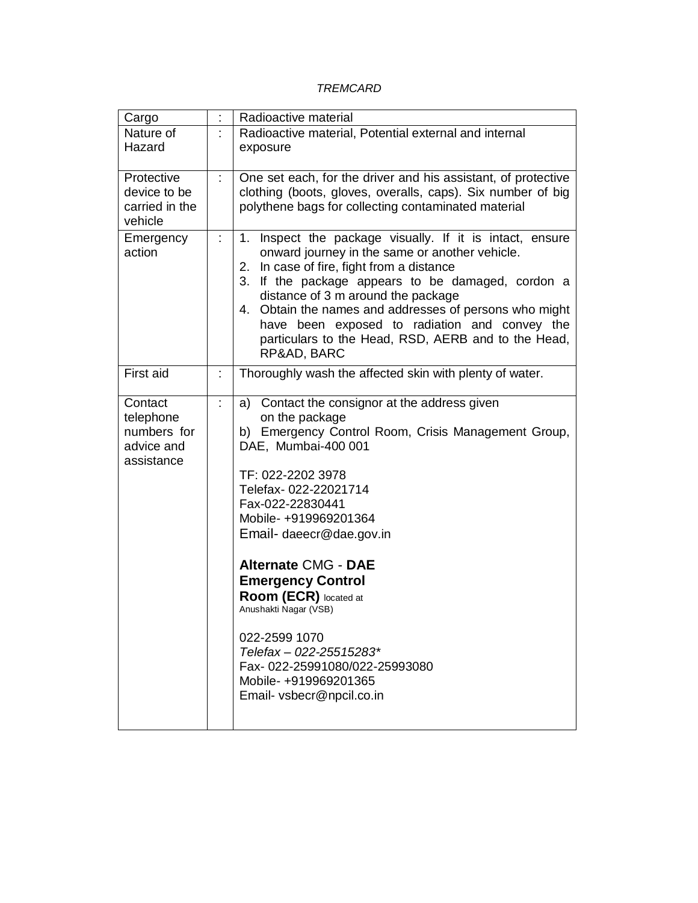### *TREMCARD*

| Cargo                                                           | $\ddot{\cdot}$ | Radioactive material                                                                                                                                                                                                                                                                                                                                                                                                                                                                                                |
|-----------------------------------------------------------------|----------------|---------------------------------------------------------------------------------------------------------------------------------------------------------------------------------------------------------------------------------------------------------------------------------------------------------------------------------------------------------------------------------------------------------------------------------------------------------------------------------------------------------------------|
| Nature of<br>Hazard                                             |                | Radioactive material, Potential external and internal<br>exposure                                                                                                                                                                                                                                                                                                                                                                                                                                                   |
| Protective<br>device to be<br>carried in the<br>vehicle         | t.             | One set each, for the driver and his assistant, of protective<br>clothing (boots, gloves, overalls, caps). Six number of big<br>polythene bags for collecting contaminated material                                                                                                                                                                                                                                                                                                                                 |
| Emergency<br>action                                             | t              | Inspect the package visually. If it is intact, ensure<br>1.<br>onward journey in the same or another vehicle.<br>In case of fire, fight from a distance<br>2.<br>If the package appears to be damaged, cordon a<br>3.<br>distance of 3 m around the package<br>4. Obtain the names and addresses of persons who might<br>have been exposed to radiation and convey the<br>particulars to the Head, RSD, AERB and to the Head,<br>RP&AD, BARC                                                                        |
| First aid                                                       | t              | Thoroughly wash the affected skin with plenty of water.                                                                                                                                                                                                                                                                                                                                                                                                                                                             |
| Contact<br>telephone<br>numbers for<br>advice and<br>assistance |                | Contact the consignor at the address given<br>a)<br>on the package<br>b) Emergency Control Room, Crisis Management Group,<br>DAE, Mumbai-400 001<br>TF: 022-2202 3978<br>Telefax-022-22021714<br>Fax-022-22830441<br>Mobile- +919969201364<br>Email-daeecr@dae.gov.in<br><b>Alternate CMG - DAE</b><br><b>Emergency Control</b><br>Room (ECR) located at<br>Anushakti Nagar (VSB)<br>022-2599 1070<br>Telefax - 022-25515283*<br>Fax-022-25991080/022-25993080<br>Mobile-+919969201365<br>Email- vsbecr@npcil.co.in |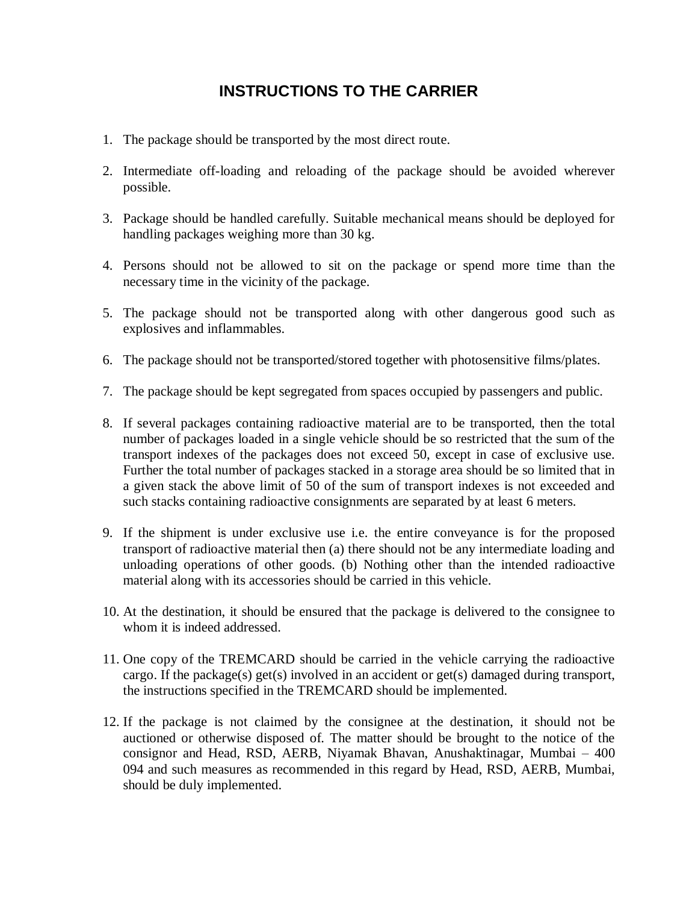# **INSTRUCTIONS TO THE CARRIER**

- 1. The package should be transported by the most direct route.
- 2. Intermediate off-loading and reloading of the package should be avoided wherever possible.
- 3. Package should be handled carefully. Suitable mechanical means should be deployed for handling packages weighing more than 30 kg.
- 4. Persons should not be allowed to sit on the package or spend more time than the necessary time in the vicinity of the package.
- 5. The package should not be transported along with other dangerous good such as explosives and inflammables.
- 6. The package should not be transported/stored together with photosensitive films/plates.
- 7. The package should be kept segregated from spaces occupied by passengers and public.
- 8. If several packages containing radioactive material are to be transported, then the total number of packages loaded in a single vehicle should be so restricted that the sum of the transport indexes of the packages does not exceed 50, except in case of exclusive use. Further the total number of packages stacked in a storage area should be so limited that in a given stack the above limit of 50 of the sum of transport indexes is not exceeded and such stacks containing radioactive consignments are separated by at least 6 meters.
- 9. If the shipment is under exclusive use i.e. the entire conveyance is for the proposed transport of radioactive material then (a) there should not be any intermediate loading and unloading operations of other goods. (b) Nothing other than the intended radioactive material along with its accessories should be carried in this vehicle.
- 10. At the destination, it should be ensured that the package is delivered to the consignee to whom it is indeed addressed.
- 11. One copy of the TREMCARD should be carried in the vehicle carrying the radioactive cargo. If the package(s) get(s) involved in an accident or get(s) damaged during transport, the instructions specified in the TREMCARD should be implemented.
- 12. If the package is not claimed by the consignee at the destination, it should not be auctioned or otherwise disposed of. The matter should be brought to the notice of the consignor and Head, RSD, AERB, Niyamak Bhavan, Anushaktinagar, Mumbai – 400 094 and such measures as recommended in this regard by Head, RSD, AERB, Mumbai, should be duly implemented.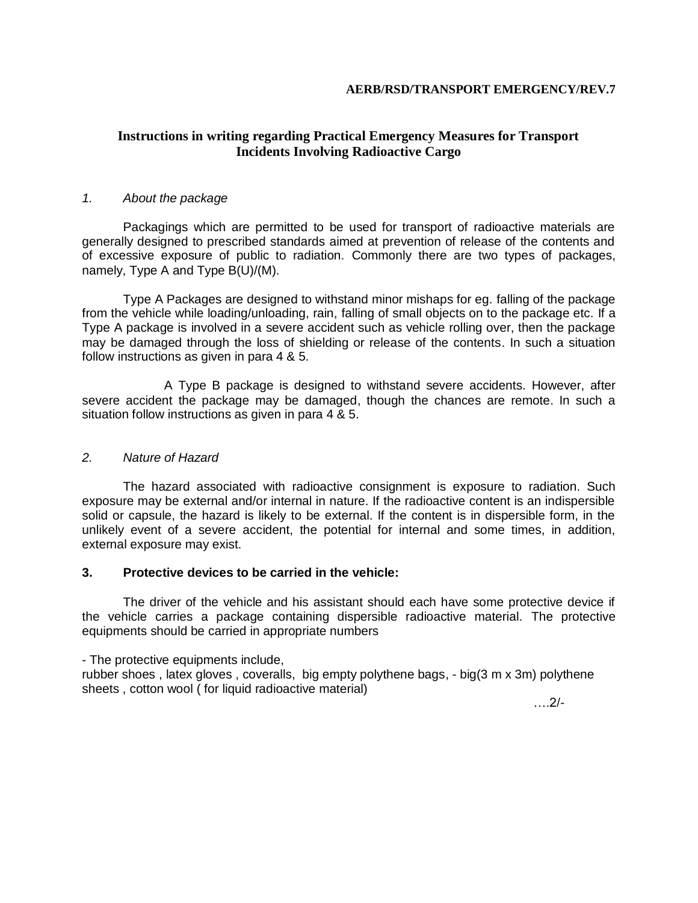#### **AERB/RSD/TRANSPORT EMERGENCY/REV.7**

### **Instructions in writing regarding Practical Emergency Measures for Transport Incidents Involving Radioactive Cargo**

### *1. About the package*

Packagings which are permitted to be used for transport of radioactive materials are generally designed to prescribed standards aimed at prevention of release of the contents and of excessive exposure of public to radiation. Commonly there are two types of packages, namely, Type A and Type B(U)/(M).

Type A Packages are designed to withstand minor mishaps for eg. falling of the package from the vehicle while loading/unloading, rain, falling of small objects on to the package etc. If a Type A package is involved in a severe accident such as vehicle rolling over, then the package may be damaged through the loss of shielding or release of the contents. In such a situation follow instructions as given in para 4 & 5.

A Type B package is designed to withstand severe accidents. However, after severe accident the package may be damaged, though the chances are remote. In such a situation follow instructions as given in para 4 & 5.

### *2. Nature of Hazard*

The hazard associated with radioactive consignment is exposure to radiation. Such exposure may be external and/or internal in nature. If the radioactive content is an indispersible solid or capsule, the hazard is likely to be external. If the content is in dispersible form, in the unlikely event of a severe accident, the potential for internal and some times, in addition, external exposure may exist.

### **3. Protective devices to be carried in the vehicle:**

The driver of the vehicle and his assistant should each have some protective device if the vehicle carries a package containing dispersible radioactive material. The protective equipments should be carried in appropriate numbers

- The protective equipments include,

rubber shoes , latex gloves , coveralls, big empty polythene bags, - big(3 m x 3m) polythene sheets , cotton wool ( for liquid radioactive material)

….2/-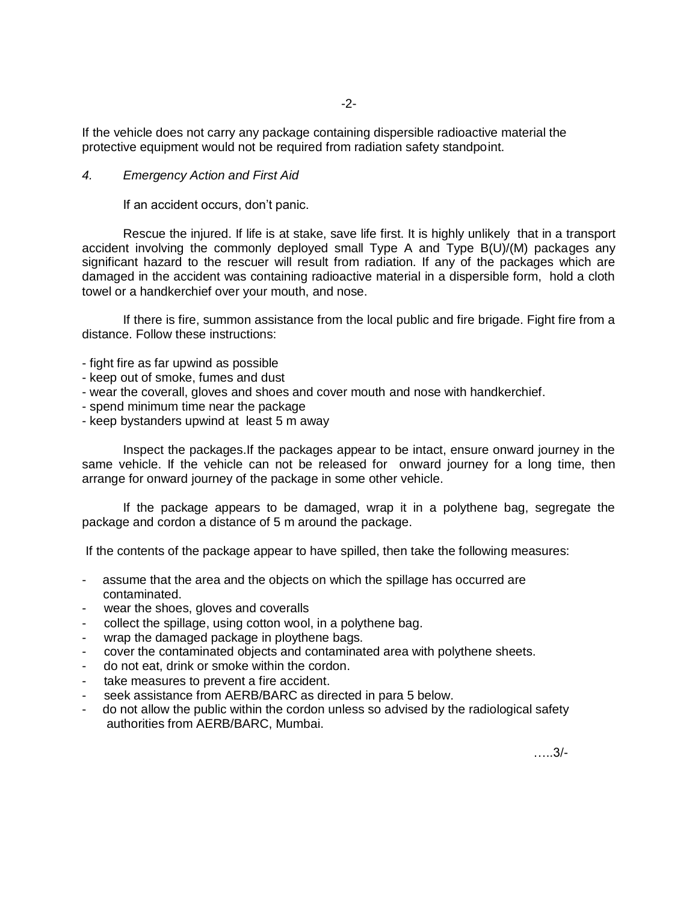If the vehicle does not carry any package containing dispersible radioactive material the protective equipment would not be required from radiation safety standpoint.

### *4. Emergency Action and First Aid*

If an accident occurs, don't panic.

Rescue the injured. If life is at stake, save life first. It is highly unlikely that in a transport accident involving the commonly deployed small Type A and Type B(U)/(M) packages any significant hazard to the rescuer will result from radiation. If any of the packages which are damaged in the accident was containing radioactive material in a dispersible form, hold a cloth towel or a handkerchief over your mouth, and nose.

If there is fire, summon assistance from the local public and fire brigade. Fight fire from a distance. Follow these instructions:

- fight fire as far upwind as possible
- keep out of smoke, fumes and dust
- wear the coverall, gloves and shoes and cover mouth and nose with handkerchief.
- spend minimum time near the package
- keep bystanders upwind at least 5 m away

Inspect the packages.If the packages appear to be intact, ensure onward journey in the same vehicle. If the vehicle can not be released for onward journey for a long time, then arrange for onward journey of the package in some other vehicle.

If the package appears to be damaged, wrap it in a polythene bag, segregate the package and cordon a distance of 5 m around the package.

If the contents of the package appear to have spilled, then take the following measures:

- assume that the area and the objects on which the spillage has occurred are contaminated.
- wear the shoes, gloves and coveralls
- collect the spillage, using cotton wool, in a polythene bag.
- wrap the damaged package in ploythene bags.
- cover the contaminated objects and contaminated area with polythene sheets.
- do not eat, drink or smoke within the cordon.
- take measures to prevent a fire accident.
- seek assistance from AERB/BARC as directed in para 5 below.
- do not allow the public within the cordon unless so advised by the radiological safety authorities from AERB/BARC, Mumbai.

…..3/-